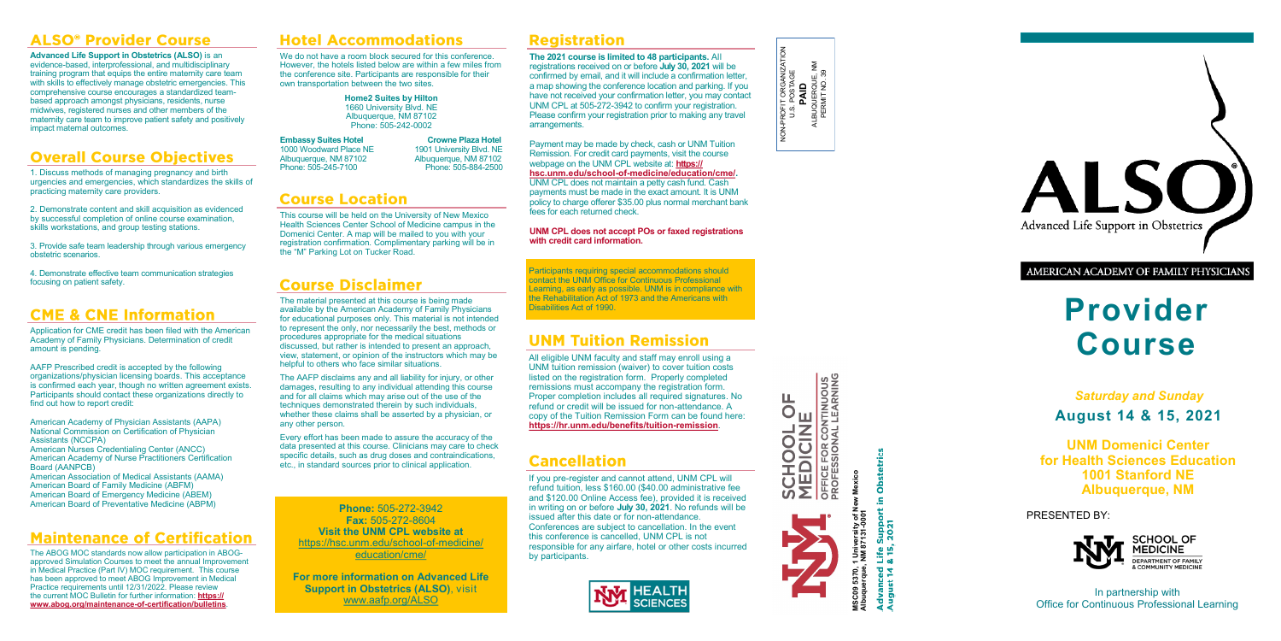



**PROFESSIONAL LEARNING** *OFFICE FOR CONTINUOUS* 

**JOC** 

MSC09 5370, 1 University of New Mexico<br>Albuquerque, NM 87131-0001 **MSC09 5370, 1 University of New Mexico Albuquerque, NM 87131-0001** Advanced Life Support in Obstetrics August 14 & 15, 2021



**Provider Course**

*Saturday and Sunday* **August 14 & 15, 2021**

**UNM Domenici Center for Health Sciences Education 1001 Stanford NE Albuquerque, NM**

PRESENTED BY:



In partnership with Office for Continuous Professional Learning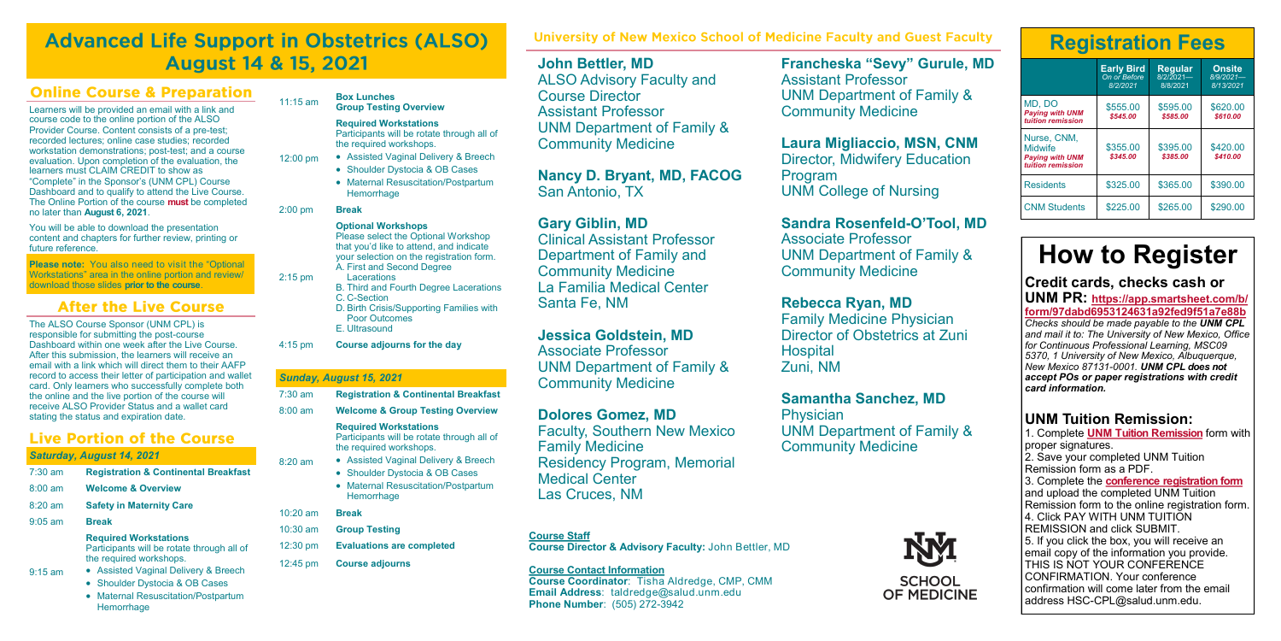# **Advanced Life Support in Obstetrics (ALSO) August 14 & 15, 2021**

#### **Online Course & Preparation**

Learners will be provided an email with a link and course code to the online portion of the ALSO Provider Course. Content consists of a pre-test; recorded lectures; online case studies; recorded workstation demonstrations; post-test; and a course evaluation. Upon completion of the evaluation, the learners must CLAIM CREDIT to show as "Complete" in the Sponsor's (UNM CPL) Course Dashboard and to qualify to attend the Live Course. The Online Portion of the course **must** be completed no later than **August 6, 2021**.

You will be able to download the presentation content and chapters for further review, printing or future reference.

**Please note:** You also need to visit the "Optional Workstations" area in the online portion and review/ download those slides **prior to the course**.

#### **After the Live Course**

The ALSO Course Sponsor (UNM CPL) is responsible for submitting the post-course Dashboard within one week after the Live Course. After this submission, the learners will receive an email with a link which will direct them to their AAFP record to access their letter of participation and wallet card. Only learners who successfully complete both the online and the live portion of the course will receive ALSO Provider Status and a wallet card stating the status and expiration date.

#### **Live Portion of the Course**

#### *Saturday, August 14, 2021*

| $7:30$ am         | <b>Registration &amp; Continental Breakfast</b>                                                       |  |  |
|-------------------|-------------------------------------------------------------------------------------------------------|--|--|
| $8:00 \text{ am}$ | <b>Welcome &amp; Overview</b>                                                                         |  |  |
| $8:20$ am         | <b>Safety in Maternity Care</b>                                                                       |  |  |
| $9:05$ am         | <b>Break</b>                                                                                          |  |  |
|                   | <b>Required Workstations</b><br>Participants will be rotate through all of<br>the required workshops. |  |  |
| $9:15$ am         | • Assisted Vaginal Delivery & Breech                                                                  |  |  |
|                   | • Shoulder Dystocia & OB Cases                                                                        |  |  |
|                   | • Maternal Resuscitation/Postpartum<br>Hemorrhage                                                     |  |  |

| $11:15$ am         | <b>Box Lunches</b><br><b>Group Testing Overview</b>                                                                                                                                                                                                                                                                                                        |
|--------------------|------------------------------------------------------------------------------------------------------------------------------------------------------------------------------------------------------------------------------------------------------------------------------------------------------------------------------------------------------------|
| $12:00 \text{ pm}$ | <b>Required Workstations</b><br>Participants will be rotate through all of<br>the required workshops.<br><b>Assisted Vaginal Delivery &amp; Breech</b><br><b>Shoulder Dystocia &amp; OB Cases</b><br>$\bullet$<br><b>Maternal Resuscitation/Postpartum</b><br>$\bullet$<br>Hemorrhage                                                                      |
| $2:00$ pm          | <b>Break</b>                                                                                                                                                                                                                                                                                                                                               |
| $2:15$ pm          | <b>Optional Workshops</b><br>Please select the Optional Workshop<br>that you'd like to attend, and indicate<br>your selection on the registration form.<br>A. First and Second Degree<br>Lacerations<br><b>B. Third and Fourth Degree Lacerations</b><br>C. C-Section<br>D. Birth Crisis/Supporting Families with<br><b>Poor Outcomes</b><br>E. Ultrasound |
| $4:15$ pm          | Course adjourns for the day                                                                                                                                                                                                                                                                                                                                |
|                    |                                                                                                                                                                                                                                                                                                                                                            |

#### *Sunday, August 15, 2021*

| $7:30 \text{ am}$  | <b>Registration &amp; Continental Breakfast</b>                                                                                                                                                                                                      |  |  |
|--------------------|------------------------------------------------------------------------------------------------------------------------------------------------------------------------------------------------------------------------------------------------------|--|--|
| $8:00 \text{ am}$  | <b>Welcome &amp; Group Testing Overview</b>                                                                                                                                                                                                          |  |  |
| $8:20 \text{ am}$  | <b>Required Workstations</b><br>Participants will be rotate through all of<br>the required workshops.<br>● Assisted Vaginal Delivery & Breech<br>Shoulder Dystocia & OB Cases<br><b>Maternal Resuscitation/Postpartum</b><br>$\bullet$<br>Hemorrhage |  |  |
| $10:20 \text{ am}$ | <b>Break</b>                                                                                                                                                                                                                                         |  |  |
| $10:30$ am         | <b>Group Testing</b>                                                                                                                                                                                                                                 |  |  |
| $12:30 \text{ pm}$ | <b>Evaluations are completed</b>                                                                                                                                                                                                                     |  |  |
| 12:45 pm           | <b>Course adjourns</b>                                                                                                                                                                                                                               |  |  |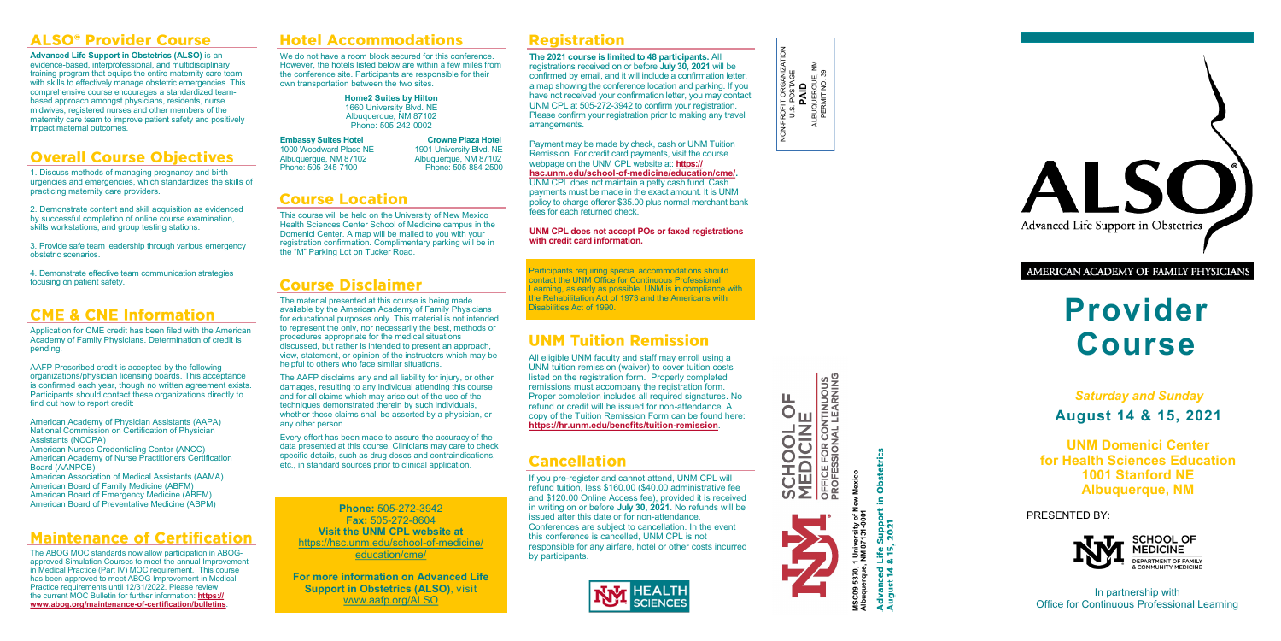#### **ALSO<sup>®</sup> Provider Course**

**Advanced Life Support in Obstetrics (ALSO)** is an evidence-based, interprofessional, and multidisciplinary training program that equips the entire maternity care team with skills to effectively manage obstetric emergencies. This comprehensive course encourages a standardized teambased approach amongst physicians, residents, nurse midwives, registered nurses and other members of the maternity care team to improve patient safety and positively impact maternal outcomes.

### **Overall Course Objectives**

1. Discuss methods of managing pregnancy and birth urgencies and emergencies, which standardizes the skills of practicing maternity care providers.

2. Demonstrate content and skill acquisition as evidenced by successful completion of online course examination, skills workstations, and group testing stations.

3. Provide safe team leadership through various emergency obstetric scenarios.

4. Demonstrate effective team communication strategies focusing on patient safety.

#### **CME & CNE Information**

Application for CME credit has been filed with the American Academy of Family Physicians. Determination of credit is pending.

AAFP Prescribed credit is accepted by the following organizations/physician licensing boards. This acceptance is confirmed each year, though no written agreement exists. Participants should contact these organizations directly to find out how to report credit:

American Academy of Physician Assistants (AAPA) National Commission on Certification of Physician Assistants (NCCPA)

American Nurses Credentialing Center (ANCC) American Academy of Nurse Practitioners Certification Board (AANPCB)

American Association of Medical Assistants (AAMA) American Board of Family Medicine (ABFM) American Board of Emergency Medicine (ABEM) American Board of Preventative Medicine (ABPM)

#### **Maintenance of Certification**

The ABOG MOC standards now allow participation in ABOGapproved Simulation Courses to meet the annual Improvement in Medical Practice (Part IV) MOC requirement. This course has been approved to meet ABOG Improvement in Medical Practice requirements until 12/31/2022. Please review the current MOC Bulletin for further information: **[https://](https://www.abog.org/maintenance-of-certification/bulletins) [www.abog.org/maintenance](https://www.abog.org/maintenance-of-certification/bulletins)-of-certification/bulletins**.

## **Hotel Accommodations**

We do not have a room block secured for this conference. However, the hotels listed below are within a few miles from the conference site. Participants are responsible for their own transportation between the two sites.

> **Home2 Suites by Hilton** 1660 University Blvd. NE Albuquerque, NM 87102 Phone: 505-242-0002

**Embassy Suites Hotel Crowne Plaza Hotel**<br>1000 Woodward Place NE 1901 University Blvd. NE 1000 Woodward Place NE<br>Albuquerque, NM 87102 Phone: 505-245-7100

Albuquerque, NM 87102<br>Phone: 505-884-2500

## **Course Location**

This course will be held on the University of New Mexico Health Sciences Center School of Medicine campus in the Domenici Center. A map will be mailed to you with your registration confirmation. Complimentary parking will be in the "M" Parking Lot on Tucker Road.

### **Course Disclaimer**

The material presented at this course is being made available by the American Academy of Family Physicians for educational purposes only. This material is not intended to represent the only, nor necessarily the best, methods or procedures appropriate for the medical situations discussed, but rather is intended to present an approach. view, statement, or opinion of the instructors which may be helpful to others who face similar situations.

The AAFP disclaims any and all liability for injury, or other damages, resulting to any individual attending this course and for all claims which may arise out of the use of the techniques demonstrated therein by such individuals, whether these claims shall be asserted by a physician, or any other person.

Every effort has been made to assure the accuracy of the data presented at this course. Clinicians may care to check specific details, such as drug doses and contraindications, etc., in standard sources prior to clinical application.

**Phone:** 505-272-3942 **Fax:** 505-272-8604 **Visit the UNM CPL website at**  [https://hsc.unm.edu/school](https://hsc.unm.edu/school-of-medicine/education/cme/)-of-medicine/ [education/cme/](https://hsc.unm.edu/school-of-medicine/education/cme/)

**For more information on Advanced Life Support in Obstetrics (ALSO)**, visit [www.aafp.org/ALSO](https://www.aafp.org/cme/programs/also.html)

#### **Registration**

**The 2021 course is limited to 48 participants.** All registrations received on or before **July 30, 2021** will be confirmed by email, and it will include a confirmation letter, a map showing the conference location and parking. If you have not received your confirmation letter, you may contact UNM CPL at 505-272-3942 to confirm your registration. Please confirm your registration prior to making any travel arrangements.

Payment may be made by check, cash or UNM Tuition Remission. For credit card payments, visit the course webpage on the UNM CPL website at: **[https://](https://hsc.unm.edu/school-of-medicine/education/cme/) hsc.unm.edu/school-of-[medicine/education/cme/.](https://hsc.unm.edu/school-of-medicine/education/cme/)** UNM CPL does not maintain a petty cash fund. Cash payments must be made in the exact amount. It is UNM policy to charge offerer \$35.00 plus normal merchant bank fees for each returned check.

#### **UNM CPL does not accept POs or faxed registrations with credit card information.**

Participants requiring special accommodations should contact the UNM Office for Continuous Professional Learning, as early as possible. UNM is in compliance with the Rehabilitation Act of 1973 and the Americans with Disabilities Act of 1990.

#### **UNM Tuition Remission**

All eligible UNM faculty and staff may enroll using a UNM tuition remission (waiver) to cover tuition costs listed on the registration form. Properly completed remissions must accompany the registration form. Proper completion includes all required signatures. No refund or credit will be issued for non-attendance. A copy of the Tuition Remission Form can be found here: **[https://hr.unm.edu/benefits/tuition](https://hr.unm.edu/benefits/tuition-remission)-remission**.

### **Cancellation**

If you pre-register and cannot attend, UNM CPL will refund tuition, less \$160.00 (\$40.00 administrative fee and \$120.00 Online Access fee), provided it is received in writing on or before **July 30, 2021**. No refunds will be issued after this date or for non-attendance. Conferences are subject to cancellation. In the event this conference is cancelled, UNM CPL is not responsible for any airfare, hotel or other costs incurred by participants.